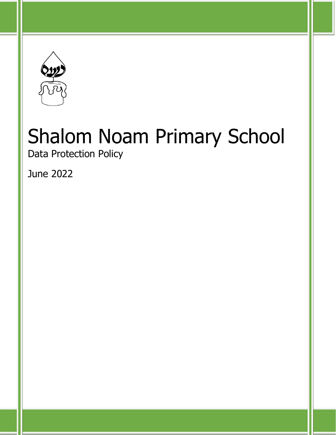

Data Protection Policy

June 2022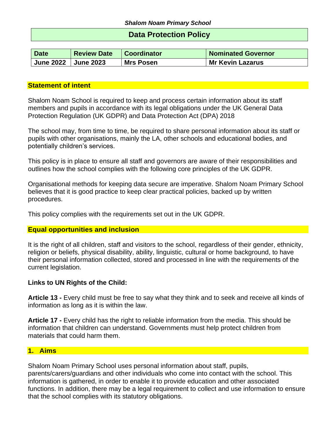# **Data Protection Policy**

| <b>Date</b>           | <b>Review Date</b> | <b>Coordinator</b> | <b>Nominated Governor</b> |
|-----------------------|--------------------|--------------------|---------------------------|
| June 2022   June 2023 |                    | <b>Mrs Posen</b>   | <b>Mr Kevin Lazarus</b>   |

## **Statement of intent**

Shalom Noam School is required to keep and process certain information about its staff members and pupils in accordance with its legal obligations under the UK General Data Protection Regulation (UK GDPR) and Data Protection Act (DPA) 2018

The school may, from time to time, be required to share personal information about its staff or pupils with other organisations, mainly the LA, other schools and educational bodies, and potentially children's services.

This policy is in place to ensure all staff and governors are aware of their responsibilities and outlines how the school complies with the following core principles of the UK GDPR.

Organisational methods for keeping data secure are imperative. Shalom Noam Primary School believes that it is good practice to keep clear practical policies, backed up by written procedures.

This policy complies with the requirements set out in the UK GDPR.

## **Equal opportunities and inclusion**

It is the right of all children, staff and visitors to the school, regardless of their gender, ethnicity, religion or beliefs, physical disability, ability, linguistic, cultural or home background, to have their personal information collected, stored and processed in line with the requirements of the current legislation.

#### **Links to UN Rights of the Child:**

**Article 13 -** Every child must be free to say what they think and to seek and receive all kinds of information as long as it is within the law.

**Article 17 -** Every child has the right to reliable information from the media. This should be information that children can understand. Governments must help protect children from materials that could harm them.

## **1. Aims**

Shalom Noam Primary School uses personal information about staff, pupils, parents/carers/guardians and other individuals who come into contact with the school. This information is gathered, in order to enable it to provide education and other associated functions. In addition, there may be a legal requirement to collect and use information to ensure that the school complies with its statutory obligations.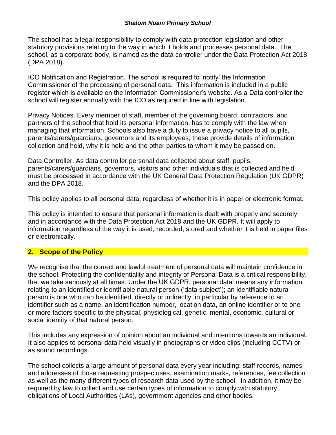The school has a legal responsibility to comply with data protection legislation and other statutory provisions relating to the way in which it holds and processes personal data. The school, as a corporate body, is named as the data controller under the Data Protection Act 2018 (DPA 2018).

ICO Notification and Registration. The school is required to 'notify' the Information Commissioner of the processing of personal data. This information is included in a public register which is available on the Information Commissioner's website. As a Data controller the school will register annually with the ICO as required in line with legislation.

Privacy Notices. Every member of staff, member of the governing board, contractors, and partners of the school that hold its personal information, has to comply with the law when managing that information. Schools also have a duty to issue a privacy notice to all pupils, parents/carers/guardians, governors and its employees; these provide details of information collection and held, why it is held and the other parties to whom it may be passed on.

Data Controller. As data controller personal data collected about staff, pupils, parents/carers/guardians, governors, visitors and other individuals that is collected and held must be processed in accordance with the UK General Data Protection Regulation (UK GDPR) and the DPA 2018.

This policy applies to all personal data, regardless of whether it is in paper or electronic format.

This policy is intended to ensure that personal information is dealt with properly and securely and in accordance with the Data Protection Act 2018 and the UK GDPR. It will apply to information regardless of the way it is used, recorded, stored and whether it is held in paper files or electronically.

# **2. Scope of the Policy**

We recognise that the correct and lawful treatment of personal data will maintain confidence in the school. Protecting the confidentiality and integrity of Personal Data is a critical responsibility, that we take seriously at all times. Under the UK GDPR, personal data' means any information relating to an identified or identifiable natural person ('data subject'); an identifiable natural person is one who can be identified, directly or indirectly, in particular by reference to an identifier such as a name, an identification number, location data, an online identifier or to one or more factors specific to the physical, physiological, genetic, mental, economic, cultural or social identity of that natural person.

This includes any expression of opinion about an individual and intentions towards an individual. It also applies to personal data held visually in photographs or video clips (including CCTV) or as sound recordings.

The school collects a large amount of personal data every year including: staff records, names and addresses of those requesting prospectuses, examination marks, references, fee collection as well as the many different types of research data used by the school. In addition, it may be required by law to collect and use certain types of information to comply with statutory obligations of Local Authorities (LAs), government agencies and other bodies.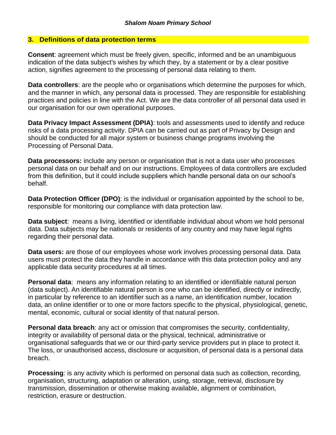## **3. Definitions of data protection terms**

**Consent**: agreement which must be freely given, specific, informed and be an unambiguous indication of the data subject's wishes by which they, by a statement or by a clear positive action, signifies agreement to the processing of personal data relating to them.

**Data controllers**: are the people who or organisations which determine the purposes for which, and the manner in which, any personal data is processed. They are responsible for establishing practices and policies in line with the Act. We are the data controller of all personal data used in our organisation for our own operational purposes.

**Data Privacy Impact Assessment (DPIA)**: tools and assessments used to identify and reduce risks of a data processing activity. DPIA can be carried out as part of Privacy by Design and should be conducted for all major system or business change programs involving the Processing of Personal Data.

**Data processors:** include any person or organisation that is not a data user who processes personal data on our behalf and on our instructions. Employees of data controllers are excluded from this definition, but it could include suppliers which handle personal data on our school's behalf.

**Data Protection Officer (DPO)**: is the individual or organisation appointed by the school to be, responsible for monitoring our compliance with data protection law.

**Data subject**: means a living, identified or identifiable individual about whom we hold personal data. Data subjects may be nationals or residents of any country and may have legal rights regarding their personal data.

**Data users:** are those of our employees whose work involves processing personal data. Data users must protect the data they handle in accordance with this data protection policy and any applicable data security procedures at all times.

**Personal data**: means any information relating to an identified or identifiable natural person (data subject). An identifiable natural person is one who can be identified, directly or indirectly, in particular by reference to an identifier such as a name, an identification number, location data, an online identifier or to one or more factors specific to the physical, physiological, genetic, mental, economic, cultural or social identity of that natural person.

**Personal data breach**: any act or omission that compromises the security, confidentiality, integrity or availability of personal data or the physical, technical, administrative or organisational safeguards that we or our third-party service providers put in place to protect it. The loss, or unauthorised access, disclosure or acquisition, of personal data is a personal data breach.

**Processing**: is any activity which is performed on personal data such as collection, recording, organisation, structuring, adaptation or alteration, using, storage, retrieval, disclosure by transmission, dissemination or otherwise making available, alignment or combination, restriction, erasure or destruction.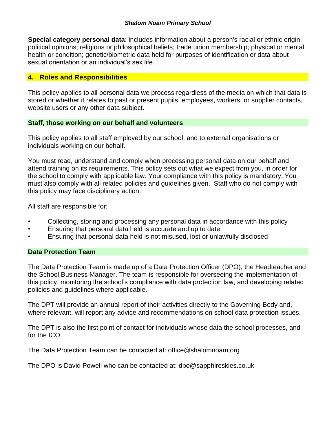**Special category personal data**: includes information about a person's racial or ethnic origin, political opinions; religious or philosophical beliefs; trade union membership; physical or mental health or condition; genetic/biometric data held for purposes of identification or data about sexual orientation or an individual's sex life.

# **4. Roles and Responsibilities**

This policy applies to all personal data we process regardless of the media on which that data is stored or whether it relates to past or present pupils, employees, workers, or supplier contacts, website users or any other data subject.

# **Staff, those working on our behalf and volunteers**

This policy applies to all staff employed by our school, and to external organisations or individuals working on our behalf.

You must read, understand and comply when processing personal data on our behalf and attend training on its requirements. This policy sets out what we expect from you, in order for the school to comply with applicable law. Your compliance with this policy is mandatory. You must also comply with all related policies and guidelines given. Staff who do not comply with this policy may face disciplinary action.

All staff are responsible for:

- Collecting, storing and processing any personal data in accordance with this policy
- Ensuring that personal data held is accurate and up to date
- Ensuring that personal data held is not misused, lost or unlawfully disclosed

# **Data Protection Team**

The Data Protection Team is made up of a Data Protection Officer (DPO), the Headteacher and the School Business Manager. The team is responsible for overseeing the implementation of this policy, monitoring the school's compliance with data protection law, and developing related policies and guidelines where applicable.

The DPT will provide an annual report of their activities directly to the Governing Body and, where relevant, will report any advice and recommendations on school data protection issues.

The DPT is also the first point of contact for individuals whose data the school processes, and for the ICO.

The Data Protection Team can be contacted at: office@shalomnoam,org

The DPO is David Powell who can be contacted at: dpo@sapphireskies.co.uk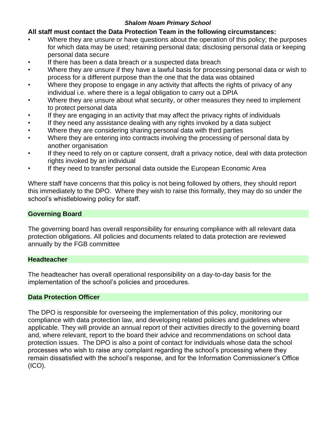# **All staff must contact the Data Protection Team in the following circumstances:**

- Where they are unsure or have questions about the operation of this policy; the purposes for which data may be used; retaining personal data; disclosing personal data or keeping personal data secure
- If there has been a data breach or a suspected data breach
- Where they are unsure if they have a lawful basis for processing personal data or wish to process for a different purpose than the one that the data was obtained
- Where they propose to engage in any activity that affects the rights of privacy of any individual i.e. where there is a legal obligation to carry out a DPIA
- Where they are unsure about what security, or other measures they need to implement to protect personal data
- If they are engaging in an activity that may affect the privacy rights of individuals
- If they need any assistance dealing with any rights invoked by a data subject
- Where they are considering sharing personal data with third parties
- Where they are entering into contracts involving the processing of personal data by another organisation
- If they need to rely on or capture consent, draft a privacy notice, deal with data protection rights invoked by an individual
- If they need to transfer personal data outside the European Economic Area

Where staff have concerns that this policy is not being followed by others, they should report this immediately to the DPO. Where they wish to raise this formally, they may do so under the school's whistleblowing policy for staff.

# **Governing Board**

The governing board has overall responsibility for ensuring compliance with all relevant data protection obligations. All policies and documents related to data protection are reviewed annually by the FGB committee

## **Headteacher**

The headteacher has overall operational responsibility on a day-to-day basis for the implementation of the school's policies and procedures.

## **Data Protection Officer**

The DPO is responsible for overseeing the implementation of this policy, monitoring our compliance with data protection law, and developing related policies and guidelines where applicable. They will provide an annual report of their activities directly to the governing board and, where relevant, report to the board their advice and recommendations on school data protection issues. The DPO is also a point of contact for individuals whose data the school processes who wish to raise any complaint regarding the school's processing where they remain dissatisfied with the school's response, and for the Information Commissioner's Office (ICO).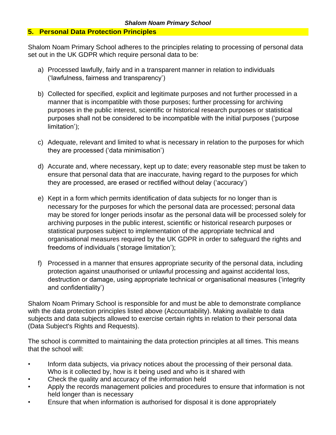# **5. Personal Data Protection Principles**

Shalom Noam Primary School adheres to the principles relating to processing of personal data set out in the UK GDPR which require personal data to be:

- a) Processed lawfully, fairly and in a transparent manner in relation to individuals ('lawfulness, fairness and transparency')
- b) Collected for specified, explicit and legitimate purposes and not further processed in a manner that is incompatible with those purposes; further processing for archiving purposes in the public interest, scientific or historical research purposes or statistical purposes shall not be considered to be incompatible with the initial purposes ('purpose limitation');
- c) Adequate, relevant and limited to what is necessary in relation to the purposes for which they are processed ('data minimisation')
- d) Accurate and, where necessary, kept up to date; every reasonable step must be taken to ensure that personal data that are inaccurate, having regard to the purposes for which they are processed, are erased or rectified without delay ('accuracy')
- e) Kept in a form which permits identification of data subjects for no longer than is necessary for the purposes for which the personal data are processed; personal data may be stored for longer periods insofar as the personal data will be processed solely for archiving purposes in the public interest, scientific or historical research purposes or statistical purposes subject to implementation of the appropriate technical and organisational measures required by the UK GDPR in order to safeguard the rights and freedoms of individuals ('storage limitation');
- f) Processed in a manner that ensures appropriate security of the personal data, including protection against unauthorised or unlawful processing and against accidental loss, destruction or damage, using appropriate technical or organisational measures ('integrity and confidentiality')

Shalom Noam Primary School is responsible for and must be able to demonstrate compliance with the data protection principles listed above (Accountability). Making available to data subjects and data subjects allowed to exercise certain rights in relation to their personal data (Data Subject's Rights and Requests).

The school is committed to maintaining the data protection principles at all times. This means that the school will:

- Inform data subjects, via privacy notices about the processing of their personal data. Who is it collected by, how is it being used and who is it shared with
- Check the quality and accuracy of the information held
- Apply the records management policies and procedures to ensure that information is not held longer than is necessary
- Ensure that when information is authorised for disposal it is done appropriately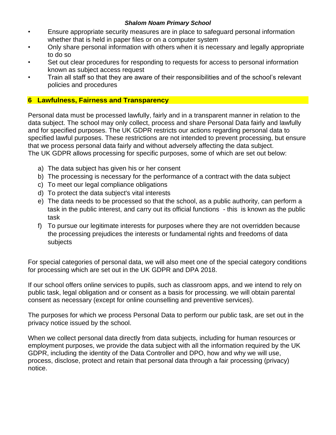- Ensure appropriate security measures are in place to safeguard personal information whether that is held in paper files or on a computer system
- Only share personal information with others when it is necessary and legally appropriate to do so
- Set out clear procedures for responding to requests for access to personal information known as subject access request
- Train all staff so that they are aware of their responsibilities and of the school's relevant policies and procedures

# **6 Lawfulness, Fairness and Transparency**

Personal data must be processed lawfully, fairly and in a transparent manner in relation to the data subject. The school may only collect, process and share Personal Data fairly and lawfully and for specified purposes. The UK GDPR restricts our actions regarding personal data to specified lawful purposes. These restrictions are not intended to prevent processing, but ensure that we process personal data fairly and without adversely affecting the data subject. The UK GDPR allows processing for specific purposes, some of which are set out below:

- a) The data subject has given his or her consent
- b) The processing is necessary for the performance of a contract with the data subject
- c) To meet our legal compliance obligations
- d) To protect the data subject's vital interests
- e) The data needs to be processed so that the school, as a public authority, can perform a task in the public interest, and carry out its official functions - this is known as the public task
- f) To pursue our legitimate interests for purposes where they are not overridden because the processing prejudices the interests or fundamental rights and freedoms of data subjects

For special categories of personal data, we will also meet one of the special category conditions for processing which are set out in the UK GDPR and DPA 2018.

If our school offers online services to pupils, such as classroom apps, and we intend to rely on public task, legal obligation and or consent as a basis for processing. we will obtain parental consent as necessary (except for online counselling and preventive services).

The purposes for which we process Personal Data to perform our public task, are set out in the privacy notice issued by the school.

When we collect personal data directly from data subjects, including for human resources or employment purposes, we provide the data subject with all the information required by the UK GDPR, including the identity of the Data Controller and DPO, how and why we will use, process, disclose, protect and retain that personal data through a fair processing (privacy) notice.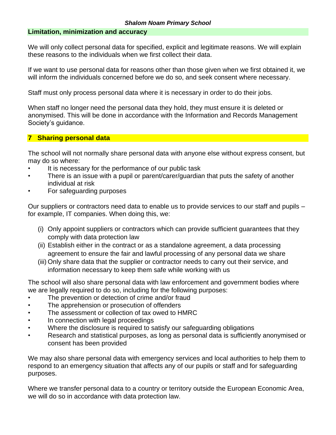## **Limitation, minimization and accuracy**

We will only collect personal data for specified, explicit and legitimate reasons. We will explain these reasons to the individuals when we first collect their data.

If we want to use personal data for reasons other than those given when we first obtained it, we will inform the individuals concerned before we do so, and seek consent where necessary.

Staff must only process personal data where it is necessary in order to do their jobs.

When staff no longer need the personal data they hold, they must ensure it is deleted or anonymised. This will be done in accordance with the Information and Records Management Society's guidance.

# **7 Sharing personal data**

The school will not normally share personal data with anyone else without express consent, but may do so where:

- It is necessary for the performance of our public task
- There is an issue with a pupil or parent/carer/guardian that puts the safety of another individual at risk
- For safeguarding purposes

Our suppliers or contractors need data to enable us to provide services to our staff and pupils – for example, IT companies. When doing this, we:

- (i) Only appoint suppliers or contractors which can provide sufficient guarantees that they comply with data protection law
- (ii) Establish either in the contract or as a standalone agreement, a data processing agreement to ensure the fair and lawful processing of any personal data we share
- (iii) Only share data that the supplier or contractor needs to carry out their service, and information necessary to keep them safe while working with us

The school will also share personal data with law enforcement and government bodies where we are legally required to do so, including for the following purposes:

- The prevention or detection of crime and/or fraud
- The apprehension or prosecution of offenders
- The assessment or collection of tax owed to HMRC
- In connection with legal proceedings
- Where the disclosure is required to satisfy our safeguarding obligations
- Research and statistical purposes, as long as personal data is sufficiently anonymised or consent has been provided

We may also share personal data with emergency services and local authorities to help them to respond to an emergency situation that affects any of our pupils or staff and for safeguarding purposes.

Where we transfer personal data to a country or territory outside the European Economic Area, we will do so in accordance with data protection law.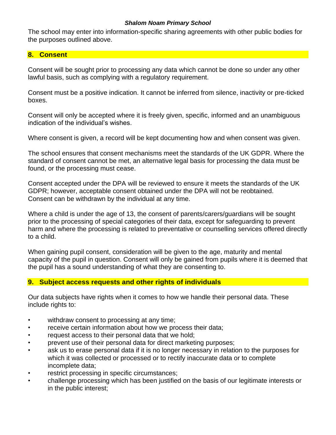The school may enter into information-specific sharing agreements with other public bodies for the purposes outlined above.

# **8. Consent**

Consent will be sought prior to processing any data which cannot be done so under any other lawful basis, such as complying with a regulatory requirement.

Consent must be a positive indication. It cannot be inferred from silence, inactivity or pre-ticked boxes.

Consent will only be accepted where it is freely given, specific, informed and an unambiguous indication of the individual's wishes.

Where consent is given, a record will be kept documenting how and when consent was given.

The school ensures that consent mechanisms meet the standards of the UK GDPR. Where the standard of consent cannot be met, an alternative legal basis for processing the data must be found, or the processing must cease.

Consent accepted under the DPA will be reviewed to ensure it meets the standards of the UK GDPR; however, acceptable consent obtained under the DPA will not be reobtained. Consent can be withdrawn by the individual at any time.

Where a child is under the age of 13, the consent of parents/carers/guardians will be sought prior to the processing of special categories of their data, except for safeguarding to prevent harm and where the processing is related to preventative or counselling services offered directly to a child.

When gaining pupil consent, consideration will be given to the age, maturity and mental capacity of the pupil in question. Consent will only be gained from pupils where it is deemed that the pupil has a sound understanding of what they are consenting to.

# **9. Subject access requests and other rights of individuals**

Our data subjects have rights when it comes to how we handle their personal data. These include rights to:

- withdraw consent to processing at any time;
- receive certain information about how we process their data;
- request access to their personal data that we hold;
- prevent use of their personal data for direct marketing purposes;
- ask us to erase personal data if it is no longer necessary in relation to the purposes for which it was collected or processed or to rectify inaccurate data or to complete incomplete data;
- restrict processing in specific circumstances;
- challenge processing which has been justified on the basis of our legitimate interests or in the public interest;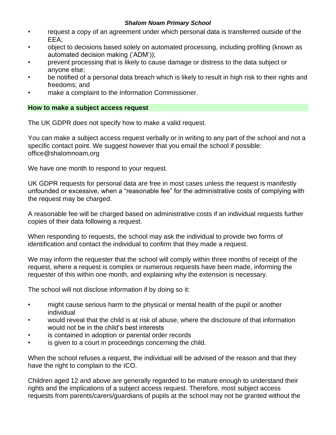- request a copy of an agreement under which personal data is transferred outside of the EEA;
- object to decisions based solely on automated processing, including profiling (known as automated decision making ('ADM'));
- prevent processing that is likely to cause damage or distress to the data subject or anyone else;
- be notified of a personal data breach which is likely to result in high risk to their rights and freedoms; and
- make a complaint to the Information Commissioner.

## **How to make a subject access request**

The UK GDPR does not specify how to make a valid request.

You can make a subject access request verbally or in writing to any part of the school and not a specific contact point. We suggest however that you email the school if possible: office@shalomnoam,org

We have one month to respond to your request.

UK GDPR requests for personal data are free in most cases unless the request is manifestly unfounded or excessive, when a "reasonable fee" for the administrative costs of complying with the request may be charged.

A reasonable fee will be charged based on administrative costs if an individual requests further copies of their data following a request.

When responding to requests, the school may ask the individual to provide two forms of identification and contact the individual to confirm that they made a request.

We may inform the requester that the school will comply within three months of receipt of the request, where a request is complex or numerous requests have been made, informing the requester of this within one month, and explaining why the extension is necessary.

The school will not disclose information if by doing so it:

- might cause serious harm to the physical or mental health of the pupil or another individual
- would reveal that the child is at risk of abuse, where the disclosure of that information would not be in the child's best interests
- is contained in adoption or parental order records
- is given to a court in proceedings concerning the child.

When the school refuses a request, the individual will be advised of the reason and that they have the right to complain to the ICO.

Children aged 12 and above are generally regarded to be mature enough to understand their rights and the implications of a subject access request. Therefore, most subject access requests from parents/carers/guardians of pupils at the school may not be granted without the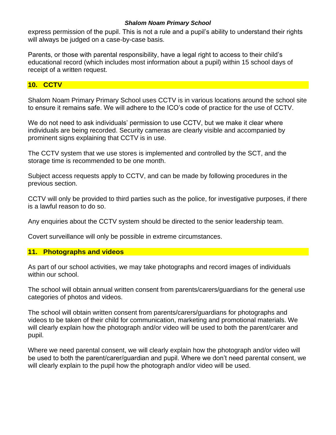express permission of the pupil. This is not a rule and a pupil's ability to understand their rights will always be judged on a case-by-case basis.

Parents, or those with parental responsibility, have a legal right to access to their child's educational record (which includes most information about a pupil) within 15 school days of receipt of a written request.

# **10. CCTV**

Shalom Noam Primary Primary School uses CCTV is in various locations around the school site to ensure it remains safe. We will adhere to the ICO's code of practice for the use of CCTV.

We do not need to ask individuals' permission to use CCTV, but we make it clear where individuals are being recorded. Security cameras are clearly visible and accompanied by prominent signs explaining that CCTV is in use.

The CCTV system that we use stores is implemented and controlled by the SCT, and the storage time is recommended to be one month.

Subject access requests apply to CCTV, and can be made by following procedures in the previous section.

CCTV will only be provided to third parties such as the police, for investigative purposes, if there is a lawful reason to do so.

Any enquiries about the CCTV system should be directed to the senior leadership team.

Covert surveillance will only be possible in extreme circumstances.

## **11. Photographs and videos**

As part of our school activities, we may take photographs and record images of individuals within our school.

The school will obtain annual written consent from parents/carers/guardians for the general use categories of photos and videos.

The school will obtain written consent from parents/carers/guardians for photographs and videos to be taken of their child for communication, marketing and promotional materials. We will clearly explain how the photograph and/or video will be used to both the parent/carer and pupil.

Where we need parental consent, we will clearly explain how the photograph and/or video will be used to both the parent/carer/guardian and pupil. Where we don't need parental consent, we will clearly explain to the pupil how the photograph and/or video will be used.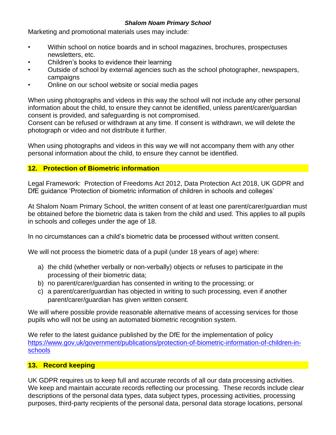Marketing and promotional materials uses may include:

- Within school on notice boards and in school magazines, brochures, prospectuses newsletters, etc.
- Children's books to evidence their learning
- Outside of school by external agencies such as the school photographer, newspapers, campaigns
- Online on our school website or social media pages

When using photographs and videos in this way the school will not include any other personal information about the child, to ensure they cannot be identified, unless parent/carer/guardian consent is provided, and safeguarding is not compromised.

Consent can be refused or withdrawn at any time. If consent is withdrawn, we will delete the photograph or video and not distribute it further.

When using photographs and videos in this way we will not accompany them with any other personal information about the child, to ensure they cannot be identified.

# **12. Protection of Biometric information**

Legal Framework: Protection of Freedoms Act 2012, Data Protection Act 2018, UK GDPR and DfE guidance 'Protection of biometric information of children in schools and colleges'

At Shalom Noam Primary School, the written consent of at least one parent/carer/guardian must be obtained before the biometric data is taken from the child and used. This applies to all pupils in schools and colleges under the age of 18.

In no circumstances can a child's biometric data be processed without written consent.

We will not process the biometric data of a pupil (under 18 years of age) where:

- a) the child (whether verbally or non-verbally) objects or refuses to participate in the processing of their biometric data;
- b) no parent/carer/guardian has consented in writing to the processing; or
- c) a parent/carer/guardian has objected in writing to such processing, even if another parent/carer/guardian has given written consent.

We will where possible provide reasonable alternative means of accessing services for those pupils who will not be using an automated biometric recognition system.

We refer to the latest guidance published by the DfE for the implementation of policy [https://www.gov.uk/government/publications/protection-of-biometric-information-of-children-in](https://www.gov.uk/government/publications/protection-of-biometric-information-of-children-in-schools)[schools](https://www.gov.uk/government/publications/protection-of-biometric-information-of-children-in-schools)

# **13. Record keeping**

UK GDPR requires us to keep full and accurate records of all our data processing activities. We keep and maintain accurate records reflecting our processing. These records include clear descriptions of the personal data types, data subject types, processing activities, processing purposes, third-party recipients of the personal data, personal data storage locations, personal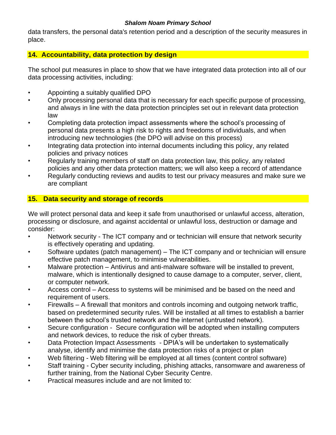data transfers, the personal data's retention period and a description of the security measures in place.

# **14. Accountability, data protection by design**

The school put measures in place to show that we have integrated data protection into all of our data processing activities, including:

- Appointing a suitably qualified DPO
- Only processing personal data that is necessary for each specific purpose of processing, and always in line with the data protection principles set out in relevant data protection law
- Completing data protection impact assessments where the school's processing of personal data presents a high risk to rights and freedoms of individuals, and when introducing new technologies (the DPO will advise on this process)
- Integrating data protection into internal documents including this policy, any related policies and privacy notices
- Regularly training members of staff on data protection law, this policy, any related policies and any other data protection matters; we will also keep a record of attendance
- Regularly conducting reviews and audits to test our privacy measures and make sure we are compliant

# **15. Data security and storage of records**

We will protect personal data and keep it safe from unauthorised or unlawful access, alteration, processing or disclosure, and against accidental or unlawful loss, destruction or damage and consider:

- Network security The ICT company and or technician will ensure that network security is effectively operating and updating.
- Software updates (patch management) The ICT company and or technician will ensure effective patch management, to minimise vulnerabilities.
- Malware protection Antivirus and anti-malware software will be installed to prevent, malware, which is intentionally designed to cause damage to a computer, server, client, or computer network.
- Access control Access to systems will be minimised and be based on the need and requirement of users.
- Firewalls A firewall that monitors and controls incoming and outgoing network traffic, based on predetermined security rules. Will be installed at all times to establish a barrier between the school's trusted network and the internet (untrusted network).
- Secure configuration Secure configuration will be adopted when installing computers and network devices, to reduce the risk of cyber threats.
- Data Protection Impact Assessments DPIA's will be undertaken to systematically analyse, identify and minimise the data protection risks of a project or plan
- Web filtering Web filtering will be employed at all times (content control software)
- Staff training Cyber security including, phishing attacks, ransomware and awareness of further training, from the National Cyber Security Centre.
- Practical measures include and are not limited to: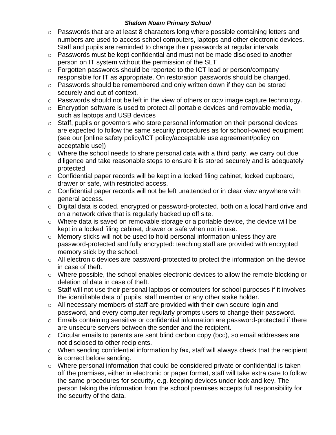- $\circ$  Passwords that are at least 8 characters long where possible containing letters and numbers are used to access school computers, laptops and other electronic devices. Staff and pupils are reminded to change their passwords at regular intervals
- o Passwords must be kept confidential and must not be made disclosed to another person on IT system without the permission of the SLT
- o Forgotten passwords should be reported to the ICT lead or person/company responsible for IT as appropriate. On restoration passwords should be changed.
- $\circ$  Passwords should be remembered and only written down if they can be stored securely and out of context.
- o Passwords should not be left in the view of others or cctv image capture technology.
- $\circ$  Encryption software is used to protect all portable devices and removable media, such as laptops and USB devices
- o Staff, pupils or governors who store personal information on their personal devices are expected to follow the same security procedures as for school-owned equipment (see our [online safety policy/ICT policy/acceptable use agreement/policy on acceptable use])
- $\circ$  Where the school needs to share personal data with a third party, we carry out due diligence and take reasonable steps to ensure it is stored securely and is adequately protected
- o Confidential paper records will be kept in a locked filing cabinet, locked cupboard, drawer or safe, with restricted access.
- o Confidential paper records will not be left unattended or in clear view anywhere with general access.
- o Digital data is coded, encrypted or password-protected, both on a local hard drive and on a network drive that is regularly backed up off site.
- o Where data is saved on removable storage or a portable device, the device will be kept in a locked filing cabinet, drawer or safe when not in use.
- o Memory sticks will not be used to hold personal information unless they are password-protected and fully encrypted: teaching staff are provided with encrypted memory stick by the school.
- $\circ$  All electronic devices are password-protected to protect the information on the device in case of theft.
- o Where possible, the school enables electronic devices to allow the remote blocking or deletion of data in case of theft.
- o Staff will not use their personal laptops or computers for school purposes if it involves the identifiable data of pupils, staff member or any other stake holder.
- o All necessary members of staff are provided with their own secure login and password, and every computer regularly prompts users to change their password.
- $\circ$  Emails containing sensitive or confidential information are password-protected if there are unsecure servers between the sender and the recipient.
- o Circular emails to parents are sent blind carbon copy (bcc), so email addresses are not disclosed to other recipients.
- o When sending confidential information by fax, staff will always check that the recipient is correct before sending.
- o Where personal information that could be considered private or confidential is taken off the premises, either in electronic or paper format, staff will take extra care to follow the same procedures for security, e.g. keeping devices under lock and key. The person taking the information from the school premises accepts full responsibility for the security of the data.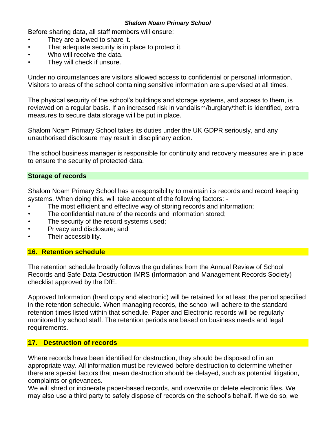Before sharing data, all staff members will ensure:

- They are allowed to share it.
- That adequate security is in place to protect it.
- Who will receive the data.
- They will check if unsure.

Under no circumstances are visitors allowed access to confidential or personal information. Visitors to areas of the school containing sensitive information are supervised at all times.

The physical security of the school's buildings and storage systems, and access to them, is reviewed on a regular basis. If an increased risk in vandalism/burglary/theft is identified, extra measures to secure data storage will be put in place.

Shalom Noam Primary School takes its duties under the UK GDPR seriously, and any unauthorised disclosure may result in disciplinary action.

The school business manager is responsible for continuity and recovery measures are in place to ensure the security of protected data.

#### **Storage of records**

Shalom Noam Primary School has a responsibility to maintain its records and record keeping systems. When doing this, will take account of the following factors: -

- The most efficient and effective way of storing records and information;
- The confidential nature of the records and information stored;
- The security of the record systems used;
- Privacy and disclosure; and
- Their accessibility.

#### **16. Retention schedule**

The retention schedule broadly follows the guidelines from the Annual Review of School Records and Safe Data Destruction IMRS (Information and Management Records Society) checklist approved by the DfE.

Approved Information (hard copy and electronic) will be retained for at least the period specified in the retention schedule. When managing records, the school will adhere to the standard retention times listed within that schedule. Paper and Electronic records will be regularly monitored by school staff. The retention periods are based on business needs and legal requirements.

## **17. Destruction of records**

Where records have been identified for destruction, they should be disposed of in an appropriate way. All information must be reviewed before destruction to determine whether there are special factors that mean destruction should be delayed, such as potential litigation, complaints or grievances.

We will shred or incinerate paper-based records, and overwrite or delete electronic files. We may also use a third party to safely dispose of records on the school's behalf. If we do so, we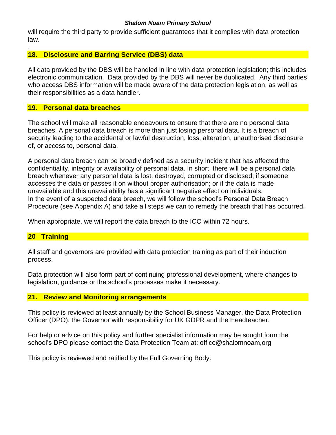will require the third party to provide sufficient guarantees that it complies with data protection law.

## **18. Disclosure and Barring Service (DBS) data**

All data provided by the DBS will be handled in line with data protection legislation; this includes electronic communication. Data provided by the DBS will never be duplicated. Any third parties who access DBS information will be made aware of the data protection legislation, as well as their responsibilities as a data handler.

## **19. Personal data breaches**

The school will make all reasonable endeavours to ensure that there are no personal data breaches. A personal data breach is more than just losing personal data. It is a breach of security leading to the accidental or lawful destruction, loss, alteration, unauthorised disclosure of, or access to, personal data.

A personal data breach can be broadly defined as a security incident that has affected the confidentiality, integrity or availability of personal data. In short, there will be a personal data breach whenever any personal data is lost, destroyed, corrupted or disclosed; if someone accesses the data or passes it on without proper authorisation; or if the data is made unavailable and this unavailability has a significant negative effect on individuals. In the event of a suspected data breach, we will follow the school's Personal Data Breach Procedure (see Appendix A) and take all steps we can to remedy the breach that has occurred.

When appropriate, we will report the data breach to the ICO within 72 hours.

## **20 Training**

.

All staff and governors are provided with data protection training as part of their induction process.

Data protection will also form part of continuing professional development, where changes to legislation, guidance or the school's processes make it necessary.

## **21. Review and Monitoring arrangements**

This policy is reviewed at least annually by the School Business Manager, the Data Protection Officer (DPO), the Governor with responsibility for UK GDPR and the Headteacher.

For help or advice on this policy and further specialist information may be sought form the school's DPO please contact the Data Protection Team at: office@shalomnoam,org

This policy is reviewed and ratified by the Full Governing Body.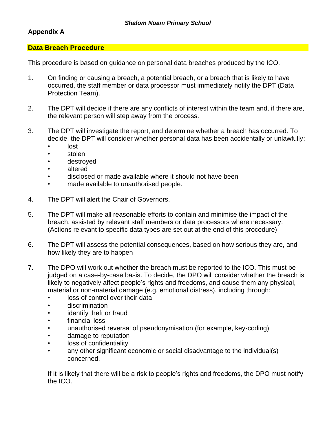# **Appendix A**

#### **Data Breach Procedure**

This procedure is based on guidance on personal data breaches produced by the ICO.

- 1. On finding or causing a breach, a potential breach, or a breach that is likely to have occurred, the staff member or data processor must immediately notify the DPT (Data Protection Team).
- 2. The DPT will decide if there are any conflicts of interest within the team and, if there are, the relevant person will step away from the process.
- 3. The DPT will investigate the report, and determine whether a breach has occurred. To decide, the DPT will consider whether personal data has been accidentally or unlawfully:
	- lost
	- stolen
	- destroyed
	- altered
	- disclosed or made available where it should not have been
	- made available to unauthorised people.
- 4. The DPT will alert the Chair of Governors.
- 5. The DPT will make all reasonable efforts to contain and minimise the impact of the breach, assisted by relevant staff members or data processors where necessary. (Actions relevant to specific data types are set out at the end of this procedure)
- 6. The DPT will assess the potential consequences, based on how serious they are, and how likely they are to happen
- 7. The DPO will work out whether the breach must be reported to the ICO. This must be judged on a case-by-case basis. To decide, the DPO will consider whether the breach is likely to negatively affect people's rights and freedoms, and cause them any physical, material or non-material damage (e.g. emotional distress), including through:
	- loss of control over their data
	- discrimination
	- identify theft or fraud
	- financial loss
	- unauthorised reversal of pseudonymisation (for example, key-coding)
	- damage to reputation
	- loss of confidentiality
	- any other significant economic or social disadvantage to the individual(s) concerned.

If it is likely that there will be a risk to people's rights and freedoms, the DPO must notify the ICO.